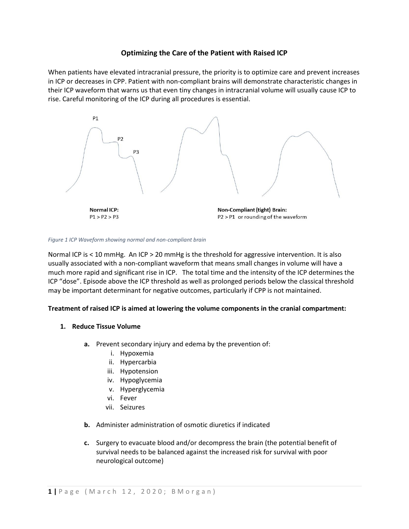# **Optimizing the Care of the Patient with Raised ICP**

When patients have elevated intracranial pressure, the priority is to optimize care and prevent increases in ICP or decreases in CPP. Patient with non-compliant brains will demonstrate characteristic changes in their ICP waveform that warns us that even tiny changes in intracranial volume will usually cause ICP to rise. Careful monitoring of the ICP during all procedures is essential.



#### *Figure 1 ICP Waveform showing normal and non-compliant brain*

Normal ICP is < 10 mmHg. An ICP > 20 mmHg is the threshold for aggressive intervention. It is also usually associated with a non-compliant waveform that means small changes in volume will have a much more rapid and significant rise in ICP. The total time and the intensity of the ICP determines the ICP "dose". Episode above the ICP threshold as well as prolonged periods below the classical threshold may be important determinant for negative outcomes, particularly if CPP is not maintained.

#### **Treatment of raised ICP is aimed at lowering the volume components in the cranial compartment:**

#### **1. Reduce Tissue Volume**

- **a.** Prevent secondary injury and edema by the prevention of:
	- i. Hypoxemia
	- ii. Hypercarbia
	- iii. Hypotension
	- iv. Hypoglycemia
	- v. Hyperglycemia
	- vi. Fever
	- vii. Seizures
- **b.** Administer administration of osmotic diuretics if indicated
- **c.** Surgery to evacuate blood and/or decompress the brain (the potential benefit of survival needs to be balanced against the increased risk for survival with poor neurological outcome)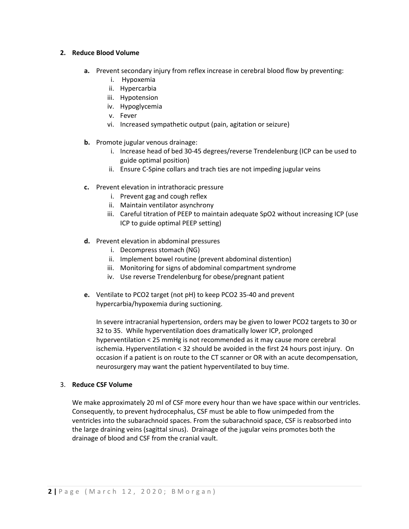#### **2. Reduce Blood Volume**

- **a.** Prevent secondary injury from reflex increase in cerebral blood flow by preventing:
	- i. Hypoxemia
	- ii. Hypercarbia
	- iii. Hypotension
	- iv. Hypoglycemia
	- v. Fever
	- vi. Increased sympathetic output (pain, agitation or seizure)
- **b.** Promote jugular venous drainage:
	- i. Increase head of bed 30-45 degrees/reverse Trendelenburg (ICP can be used to guide optimal position)
	- ii. Ensure C-Spine collars and trach ties are not impeding jugular veins
- **c.** Prevent elevation in intrathoracic pressure
	- i. Prevent gag and cough reflex
	- ii. Maintain ventilator asynchrony
	- iii. Careful titration of PEEP to maintain adequate SpO2 without increasing ICP (use ICP to guide optimal PEEP setting)
- **d.** Prevent elevation in abdominal pressures
	- i. Decompress stomach (NG)
	- ii. Implement bowel routine (prevent abdominal distention)
	- iii. Monitoring for signs of abdominal compartment syndrome
	- iv. Use reverse Trendelenburg for obese/pregnant patient
- **e.** Ventilate to PCO2 target (not pH) to keep PCO2 35-40 and prevent hypercarbia/hypoxemia during suctioning.

In severe intracranial hypertension, orders may be given to lower PCO2 targets to 30 or 32 to 35. While hyperventilation does dramatically lower ICP, prolonged hyperventilation < 25 mmHg is not recommended as it may cause more cerebral ischemia. Hyperventilation < 32 should be avoided in the first 24 hours post injury. On occasion if a patient is on route to the CT scanner or OR with an acute decompensation, neurosurgery may want the patient hyperventilated to buy time.

#### 3. **Reduce CSF Volume**

We make approximately 20 ml of CSF more every hour than we have space within our ventricles. Consequently, to prevent hydrocephalus, CSF must be able to flow unimpeded from the ventricles into the subarachnoid spaces. From the subarachnoid space, CSF is reabsorbed into the large draining veins (sagittal sinus). Drainage of the jugular veins promotes both the drainage of blood and CSF from the cranial vault.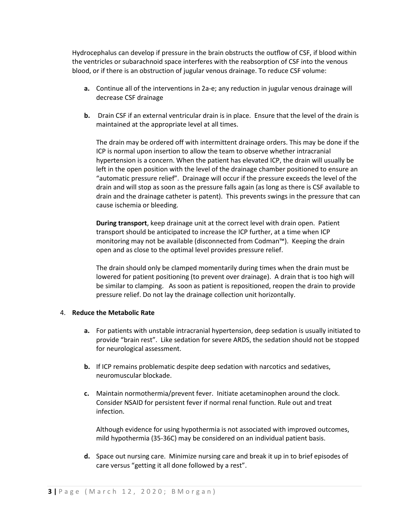Hydrocephalus can develop if pressure in the brain obstructs the outflow of CSF, if blood within the ventricles or subarachnoid space interferes with the reabsorption of CSF into the venous blood, or if there is an obstruction of jugular venous drainage. To reduce CSF volume:

- **a.** Continue all of the interventions in 2a-e; any reduction in jugular venous drainage will decrease CSF drainage
- **b.** Drain CSF if an external ventricular drain is in place. Ensure that the level of the drain is maintained at the appropriate level at all times.

The drain may be ordered off with intermittent drainage orders. This may be done if the ICP is normal upon insertion to allow the team to observe whether intracranial hypertension is a concern. When the patient has elevated ICP, the drain will usually be left in the open position with the level of the drainage chamber positioned to ensure an "automatic pressure relief". Drainage will occur if the pressure exceeds the level of the drain and will stop as soon as the pressure falls again (as long as there is CSF available to drain and the drainage catheter is patent). This prevents swings in the pressure that can cause ischemia or bleeding.

**During transport**, keep drainage unit at the correct level with drain open. Patient transport should be anticipated to increase the ICP further, at a time when ICP monitoring may not be available (disconnected from Codman™). Keeping the drain open and as close to the optimal level provides pressure relief.

The drain should only be clamped momentarily during times when the drain must be lowered for patient positioning (to prevent over drainage). A drain that is too high will be similar to clamping. As soon as patient is repositioned, reopen the drain to provide pressure relief. Do not lay the drainage collection unit horizontally.

## 4. **Reduce the Metabolic Rate**

- **a.** For patients with unstable intracranial hypertension, deep sedation is usually initiated to provide "brain rest". Like sedation for severe ARDS, the sedation should not be stopped for neurological assessment.
- **b.** If ICP remains problematic despite deep sedation with narcotics and sedatives, neuromuscular blockade.
- **c.** Maintain normothermia/prevent fever. Initiate acetaminophen around the clock. Consider NSAID for persistent fever if normal renal function. Rule out and treat infection.

Although evidence for using hypothermia is not associated with improved outcomes, mild hypothermia (35-36C) may be considered on an individual patient basis.

**d.** Space out nursing care. Minimize nursing care and break it up in to brief episodes of care versus "getting it all done followed by a rest".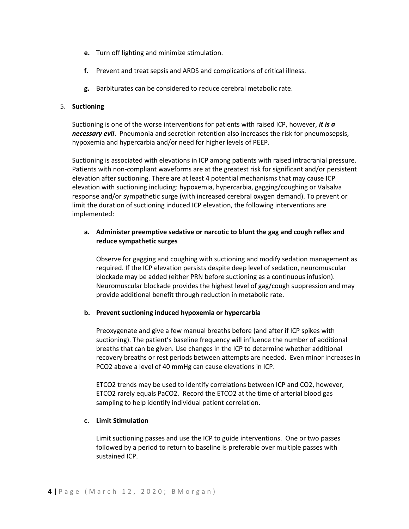- **e.** Turn off lighting and minimize stimulation.
- **f.** Prevent and treat sepsis and ARDS and complications of critical illness.
- **g.** Barbiturates can be considered to reduce cerebral metabolic rate.

### 5. **Suctioning**

Suctioning is one of the worse interventions for patients with raised ICP, however, *it is a necessary evil*. Pneumonia and secretion retention also increases the risk for pneumosepsis, hypoxemia and hypercarbia and/or need for higher levels of PEEP.

Suctioning is associated with elevations in ICP among patients with raised intracranial pressure. Patients with non-compliant waveforms are at the greatest risk for significant and/or persistent elevation after suctioning. There are at least 4 potential mechanisms that may cause ICP elevation with suctioning including: hypoxemia, hypercarbia, gagging/coughing or Valsalva response and/or sympathetic surge (with increased cerebral oxygen demand). To prevent or limit the duration of suctioning induced ICP elevation, the following interventions are implemented:

# **a. Administer preemptive sedative or narcotic to blunt the gag and cough reflex and reduce sympathetic surges**

Observe for gagging and coughing with suctioning and modify sedation management as required. If the ICP elevation persists despite deep level of sedation, neuromuscular blockade may be added (either PRN before suctioning as a continuous infusion). Neuromuscular blockade provides the highest level of gag/cough suppression and may provide additional benefit through reduction in metabolic rate.

### **b. Prevent suctioning induced hypoxemia or hypercarbia**

Preoxygenate and give a few manual breaths before (and after if ICP spikes with suctioning). The patient's baseline frequency will influence the number of additional breaths that can be given. Use changes in the ICP to determine whether additional recovery breaths or rest periods between attempts are needed. Even minor increases in PCO2 above a level of 40 mmHg can cause elevations in ICP.

ETCO2 trends may be used to identify correlations between ICP and CO2, however, ETCO2 rarely equals PaCO2. Record the ETCO2 at the time of arterial blood gas sampling to help identify individual patient correlation.

### **c. Limit Stimulation**

Limit suctioning passes and use the ICP to guide interventions. One or two passes followed by a period to return to baseline is preferable over multiple passes with sustained ICP.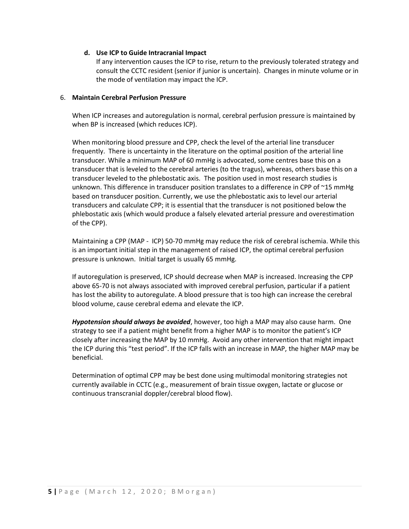### **d. Use ICP to Guide Intracranial Impact**

If any intervention causes the ICP to rise, return to the previously tolerated strategy and consult the CCTC resident (senior if junior is uncertain). Changes in minute volume or in the mode of ventilation may impact the ICP.

# 6. **Maintain Cerebral Perfusion Pressure**

When ICP increases and autoregulation is normal, cerebral perfusion pressure is maintained by when BP is increased (which reduces ICP).

When monitoring blood pressure and CPP, check the level of the arterial line transducer frequently. There is uncertainty in the literature on the optimal position of the arterial line transducer. While a minimum MAP of 60 mmHg is advocated, some centres base this on a transducer that is leveled to the cerebral arteries (to the tragus), whereas, others base this on a transducer leveled to the phlebostatic axis. The position used in most research studies is unknown. This difference in transducer position translates to a difference in CPP of ~15 mmHg based on transducer position. Currently, we use the phlebostatic axis to level our arterial transducers and calculate CPP; it is essential that the transducer is not positioned below the phlebostatic axis (which would produce a falsely elevated arterial pressure and overestimation of the CPP).

Maintaining a CPP (MAP - ICP) 50-70 mmHg may reduce the risk of cerebral ischemia. While this is an important initial step in the management of raised ICP, the optimal cerebral perfusion pressure is unknown. Initial target is usually 65 mmHg.

If autoregulation is preserved, ICP should decrease when MAP is increased. Increasing the CPP above 65-70 is not always associated with improved cerebral perfusion, particular if a patient has lost the ability to autoregulate. A blood pressure that is too high can increase the cerebral blood volume, cause cerebral edema and elevate the ICP.

*Hypotension should always be avoided*, however, too high a MAP may also cause harm. One strategy to see if a patient might benefit from a higher MAP is to monitor the patient's ICP closely after increasing the MAP by 10 mmHg. Avoid any other intervention that might impact the ICP during this "test period". If the ICP falls with an increase in MAP, the higher MAP may be beneficial.

Determination of optimal CPP may be best done using multimodal monitoring strategies not currently available in CCTC (e.g., measurement of brain tissue oxygen, lactate or glucose or continuous transcranial doppler/cerebral blood flow).